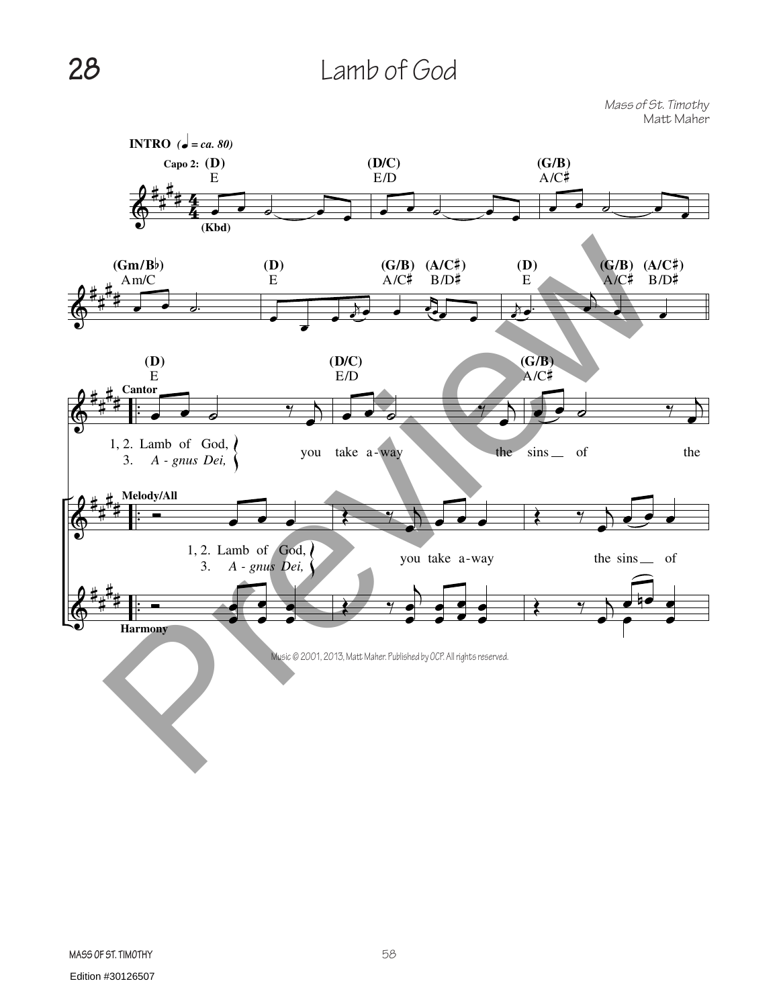## **28** Lamb of God

*Mass of St. Timothy* Matt Maher